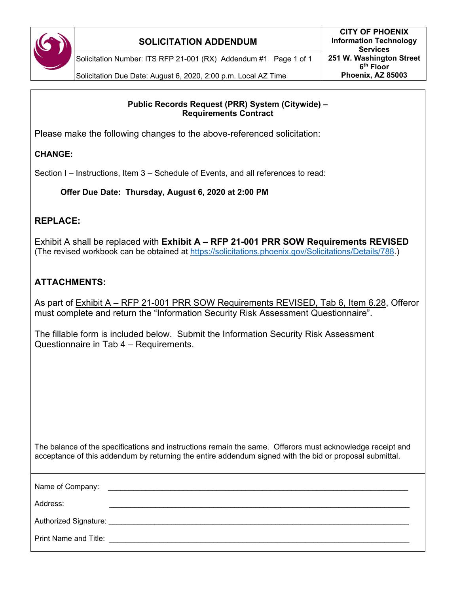

### **SOLICITATION ADDENDUM**

Solicitation Number: ITS RFP 21-001 (RX) Addendum #1 Page 1 of 1

Solicitation Due Date: August 6, 2020, 2:00 p.m. Local AZ Time

#### **Public Records Request (PRR) System (Citywide) – Requirements Contract**

Please make the following changes to the above-referenced solicitation:

#### **CHANGE:**

Section I – Instructions, Item 3 – Schedule of Events, and all references to read:

**Offer Due Date: Thursday, August 6, 2020 at 2:00 PM**

## **REPLACE:**

Exhibit A shall be replaced with **Exhibit A – RFP 21-001 PRR SOW Requirements REVISED** (The revised workbook can be obtained at [https://solicitations.phoenix.gov/Solicitations/Details/788.](https://solicitations.phoenix.gov/Solicitations/Details/788))

# **ATTACHMENTS:**

As part of Exhibit A – RFP 21-001 PRR SOW Requirements REVISED, Tab 6, Item 6.28, Offeror must complete and return the "Information Security Risk Assessment Questionnaire".

The fillable form is included below. Submit the Information Security Risk Assessment Questionnaire in Tab 4 – Requirements.

| The balance of the specifications and instructions remain the same. Offerors must acknowledge receipt and      |  |
|----------------------------------------------------------------------------------------------------------------|--|
| acceptance of this addendum by returning the <u>entire</u> addendum signed with the bid or proposal submittal. |  |

| Name of Company:      |                                                   |
|-----------------------|---------------------------------------------------|
| Address:              |                                                   |
|                       | Authorized Signature: North Authorized Signature: |
| Print Name and Title: |                                                   |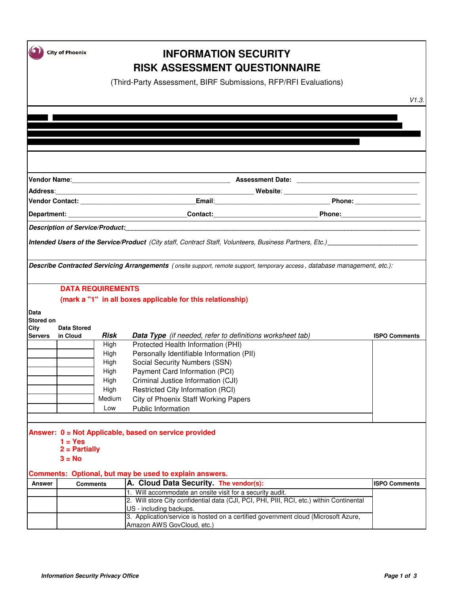|                   | <b>City of Phoenix</b>       |        | <b>INFORMATION SECURITY</b><br><b>RISK ASSESSMENT QUESTIONNAIRE</b>                                                                                   |                      |
|-------------------|------------------------------|--------|-------------------------------------------------------------------------------------------------------------------------------------------------------|----------------------|
|                   |                              |        | (Third-Party Assessment, BIRF Submissions, RFP/RFI Evaluations)                                                                                       |                      |
|                   |                              |        |                                                                                                                                                       | V1.3.                |
|                   |                              |        |                                                                                                                                                       |                      |
|                   |                              |        |                                                                                                                                                       |                      |
|                   |                              |        |                                                                                                                                                       |                      |
|                   |                              |        |                                                                                                                                                       |                      |
|                   |                              |        |                                                                                                                                                       |                      |
|                   |                              |        |                                                                                                                                                       |                      |
|                   |                              |        |                                                                                                                                                       |                      |
|                   |                              |        |                                                                                                                                                       |                      |
|                   |                              |        |                                                                                                                                                       |                      |
|                   |                              |        |                                                                                                                                                       |                      |
|                   |                              |        |                                                                                                                                                       |                      |
|                   |                              |        | Intended Users of the Service/Product (City staff, Contract Staff, Volunteers, Business Partners, Etc.) _______________________________               |                      |
|                   |                              |        |                                                                                                                                                       |                      |
|                   |                              |        | Describe Contracted Servicing Arrangements (onsite support, remote support, temporary access, database management, etc.):                             |                      |
|                   |                              |        |                                                                                                                                                       |                      |
|                   | <b>DATA REQUIREMENTS</b>     |        |                                                                                                                                                       |                      |
|                   |                              |        | (mark a "1" in all boxes applicable for this relationship)                                                                                            |                      |
| Data              |                              |        |                                                                                                                                                       |                      |
| Stored on<br>City | <b>Data Stored</b>           |        |                                                                                                                                                       |                      |
| <b>Servers</b>    | in Cloud                     | Risk   | Data Type (if needed, refer to definitions worksheet tab)                                                                                             | <b>ISPO Comments</b> |
|                   |                              | High   | Protected Health Information (PHI)                                                                                                                    |                      |
|                   |                              | High   | Personally Identifiable Information (PII)                                                                                                             |                      |
|                   |                              | High   | Social Security Numbers (SSN)                                                                                                                         |                      |
|                   |                              | High   | Payment Card Information (PCI)                                                                                                                        |                      |
|                   |                              | High   | Criminal Justice Information (CJI)                                                                                                                    |                      |
|                   |                              | High   | Restricted City Information (RCI)                                                                                                                     |                      |
|                   |                              | Medium | City of Phoenix Staff Working Papers                                                                                                                  |                      |
|                   |                              | Low    | Public Information                                                                                                                                    |                      |
|                   |                              |        |                                                                                                                                                       |                      |
|                   |                              |        | Answer: 0 = Not Applicable, based on service provided                                                                                                 |                      |
|                   | $1 = Yes$<br>$2 =$ Partially |        |                                                                                                                                                       |                      |
|                   | $3 = No$                     |        |                                                                                                                                                       |                      |
|                   |                              |        |                                                                                                                                                       |                      |
|                   |                              |        | Comments: Optional, but may be used to explain answers.                                                                                               |                      |
| <b>Answer</b>     | <b>Comments</b>              |        | A. Cloud Data Security. The vendor(s):                                                                                                                | <b>ISPO Comments</b> |
|                   |                              |        | 1. Will accommodate an onsite visit for a security audit.<br>2. Will store City confidential data (CJI, PCI, PHI, PIII, RCI, etc.) within Continental |                      |
|                   |                              |        | US - including backups.                                                                                                                               |                      |
|                   |                              |        | 3. Application/service is hosted on a certified government cloud (Microsoft Azure,                                                                    |                      |
|                   |                              |        | Amazon AWS GovCloud, etc.)                                                                                                                            |                      |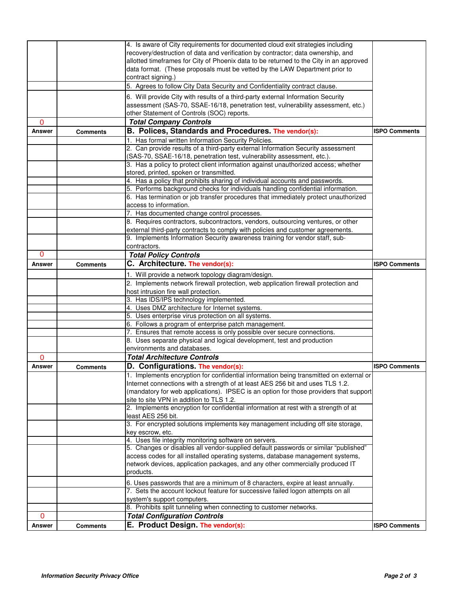|             |                 | 4. Is aware of City requirements for documented cloud exit strategies including                                                               |                      |
|-------------|-----------------|-----------------------------------------------------------------------------------------------------------------------------------------------|----------------------|
|             |                 | recovery/destruction of data and verification by contractor; data ownership, and                                                              |                      |
|             |                 | allotted timeframes for City of Phoenix data to be returned to the City in an approved                                                        |                      |
|             |                 | data format. (These proposals must be vetted by the LAW Department prior to                                                                   |                      |
|             |                 | contract signing.)                                                                                                                            |                      |
|             |                 | 5. Agrees to follow City Data Security and Confidentiality contract clause.                                                                   |                      |
|             |                 | 6. Will provide City with results of a third-party external Information Security                                                              |                      |
|             |                 |                                                                                                                                               |                      |
|             |                 | assessment (SAS-70, SSAE-16/18, penetration test, vulnerability assessment, etc.)                                                             |                      |
|             |                 | other Statement of Controls (SOC) reports.                                                                                                    |                      |
| $\mathbf 0$ |                 | <b>Total Company Controls</b>                                                                                                                 |                      |
| Answer      | <b>Comments</b> | B. Polices, Standards and Procedures. The vendor(s):                                                                                          | <b>ISPO Comments</b> |
|             |                 | 1. Has formal written Information Security Policies.                                                                                          |                      |
|             |                 | 2. Can provide results of a third-party external Information Security assessment                                                              |                      |
|             |                 | (SAS-70, SSAE-16/18, penetration test, vulnerability assessment, etc.).                                                                       |                      |
|             |                 | 3. Has a policy to protect client information against unauthorized access; whether                                                            |                      |
|             |                 | stored, printed, spoken or transmitted.                                                                                                       |                      |
|             |                 | 4. Has a policy that prohibits sharing of individual accounts and passwords.                                                                  |                      |
|             |                 | 5. Performs background checks for individuals handling confidential information.                                                              |                      |
|             |                 | 6. Has termination or job transfer procedures that immediately protect unauthorized                                                           |                      |
|             |                 | access to information.                                                                                                                        |                      |
|             |                 | 7. Has documented change control processes.                                                                                                   |                      |
|             |                 | 8. Requires contractors, subcontractors, vendors, outsourcing ventures, or other                                                              |                      |
|             |                 | external third-party contracts to comply with policies and customer agreements.                                                               |                      |
|             |                 | 9. Implements Information Security awareness training for vendor staff, sub-                                                                  |                      |
|             |                 | contractors.                                                                                                                                  |                      |
| 0           |                 | <b>Total Policy Controls</b>                                                                                                                  |                      |
| Answer      | Comments        | C. Architecture. The vendor(s):                                                                                                               | <b>ISPO Comments</b> |
|             |                 | 1. Will provide a network topology diagram/design.                                                                                            |                      |
|             |                 | 2. Implements network firewall protection, web application firewall protection and                                                            |                      |
|             |                 | host intrusion fire wall protection.                                                                                                          |                      |
|             |                 | 3. Has IDS/IPS technology implemented.                                                                                                        |                      |
|             |                 | 4. Uses DMZ architecture for Internet systems.                                                                                                |                      |
|             |                 | 5. Uses enterprise virus protection on all systems.                                                                                           |                      |
|             |                 | 6. Follows a program of enterprise patch management.                                                                                          |                      |
|             |                 | 7. Ensures that remote access is only possible over secure connections.                                                                       |                      |
|             |                 | 8. Uses separate physical and logical development, test and production                                                                        |                      |
|             |                 | environments and databases.                                                                                                                   |                      |
| $\Omega$    |                 | <b>Total Architecture Controls</b>                                                                                                            |                      |
| Answer      |                 | D. Configurations. The vendor(s):                                                                                                             | <b>ISPO Comments</b> |
|             | <b>Comments</b> |                                                                                                                                               |                      |
|             |                 | 1. Implements encryption for confidential information being transmitted on external or                                                        |                      |
|             |                 | Internet connections with a strength of at least AES 256 bit and uses TLS 1.2.                                                                |                      |
|             |                 | (mandatory for web applications). IPSEC is an option for those providers that support                                                         |                      |
|             |                 | site to site VPN in addition to TLS 1.2.<br>2. Implements encryption for confidential information at rest with a strength of at               |                      |
|             |                 |                                                                                                                                               |                      |
|             |                 | least AES 256 bit.<br>3. For encrypted solutions implements key management including off site storage,                                        |                      |
|             |                 |                                                                                                                                               |                      |
|             |                 | key escrow, etc.                                                                                                                              |                      |
|             |                 | 4. Uses file integrity monitoring software on servers.<br>5. Changes or disables all vendor-supplied default passwords or similar "published" |                      |
|             |                 | access codes for all installed operating systems, database management systems,                                                                |                      |
|             |                 | network devices, application packages, and any other commercially produced IT                                                                 |                      |
|             |                 | products.                                                                                                                                     |                      |
|             |                 |                                                                                                                                               |                      |
|             |                 | 6. Uses passwords that are a minimum of 8 characters, expire at least annually.                                                               |                      |
|             |                 | 7. Sets the account lockout feature for successive failed logon attempts on all                                                               |                      |
|             |                 | system's support computers.                                                                                                                   |                      |
|             |                 | 8. Prohibits split tunneling when connecting to customer networks.                                                                            |                      |
| $\mathbf 0$ |                 | <b>Total Configuration Controls</b>                                                                                                           |                      |
| Answer      | <b>Comments</b> | E. Product Design. The vendor(s):                                                                                                             | <b>ISPO Comments</b> |